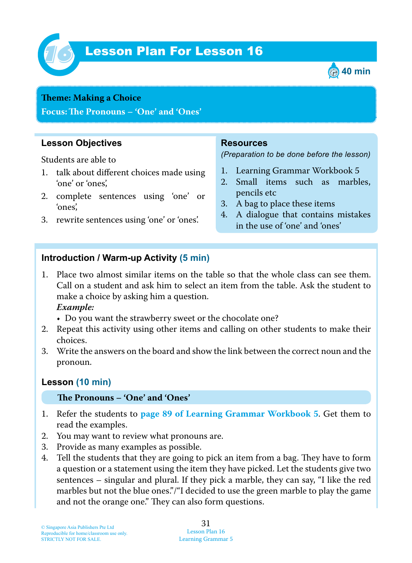

# Lesson Plan For Lesson 16 *16*



#### **Theme: Making a Choice**

**Focus: Te Pronouns – 'One' and 'Ones'**

#### **Lesson Objectives**

Students are able to

- 1. talk about different choices made using 'one' or 'ones',
- 2. complete sentences using 'one' or 'ones',
- 3. rewrite sentences using 'one' or 'ones'.

#### **Resources**

*(Preparation to be done before the lesson)*

- 1. Learning Grammar Workbook 5
- 2. Small items such as marbles, pencils etc
- 3. A bag to place these items
- 4. A dialogue that contains mistakes in the use of 'one' and 'ones'

#### **Introduction / Warm-up Activity (5 min)**

- 1. Place two almost similar items on the table so that the whole class can see them. Call on a student and ask him to select an item from the table. Ask the student to make a choice by asking him a question.  *Example:*
	- Do you want the strawberry sweet or the chocolate one?
- 2. Repeat this activity using other items and calling on other students to make their choices.
- 3. Write the answers on the board and show the link between the correct noun and the pronoun.

#### **Lesson (10 min)**

#### **Te Pronouns – 'One' and 'Ones'**

- 1. Refer the students to **page 89 of Learning Grammar Workbook 5**. Get them to read the examples.
- 2. You may want to review what pronouns are.
- 3. Provide as many examples as possible.
- 4. Tell the students that they are going to pick an item from a bag. They have to form a question or a statement using the item they have picked. Let the students give two sentences – singular and plural. If they pick a marble, they can say, "I like the red marbles but not the blue ones."/"I decided to use the green marble to play the game and not the orange one." They can also form questions.